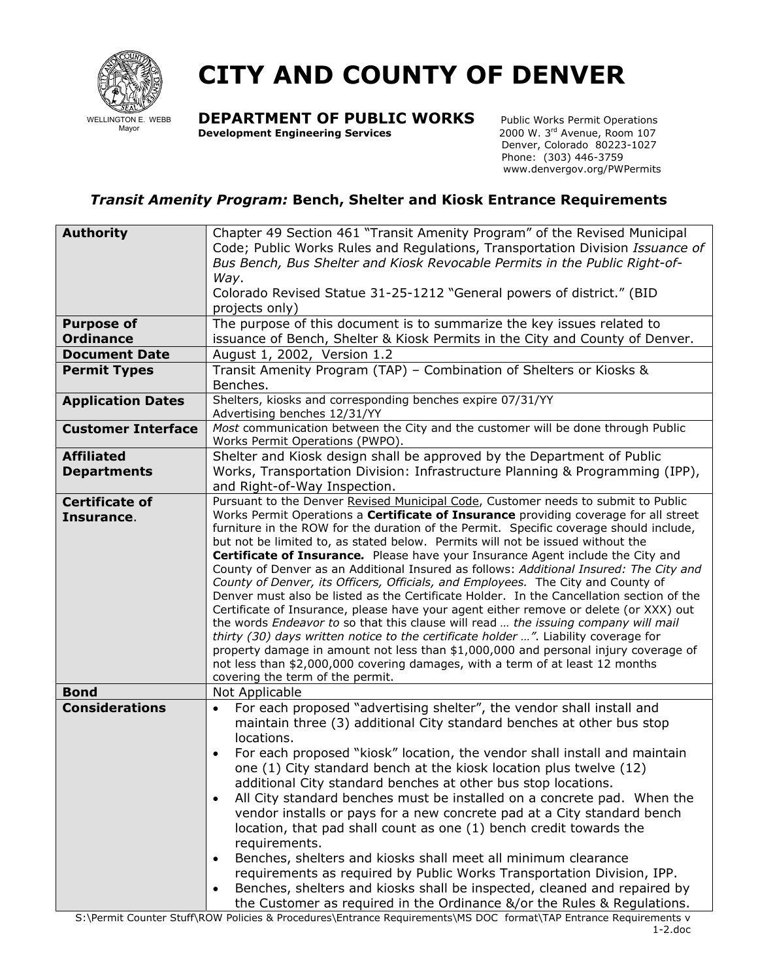

## **CITY AND COUNTY OF DENVER**

**DEPARTMENT OF PUBLIC WORKS** Public Works Permit Operations<br>Development Engineering Services 2000 W. 3<sup>rd</sup> Avenue, Room 107

**Development Engineering Services** 

 Denver, Colorado 80223-1027 Phone: (303) 446-3759 www.denvergov.org/PWPermits

## *Transit Amenity Program:* **Bench, Shelter and Kiosk Entrance Requirements**

| <b>Authority</b>                    | Chapter 49 Section 461 "Transit Amenity Program" of the Revised Municipal                                                                                                   |
|-------------------------------------|-----------------------------------------------------------------------------------------------------------------------------------------------------------------------------|
|                                     | Code; Public Works Rules and Regulations, Transportation Division Issuance of                                                                                               |
|                                     | Bus Bench, Bus Shelter and Kiosk Revocable Permits in the Public Right-of-                                                                                                  |
|                                     | Way.                                                                                                                                                                        |
|                                     | Colorado Revised Statue 31-25-1212 "General powers of district." (BID                                                                                                       |
|                                     | projects only)                                                                                                                                                              |
| <b>Purpose of</b>                   | The purpose of this document is to summarize the key issues related to                                                                                                      |
| <b>Ordinance</b>                    | issuance of Bench, Shelter & Kiosk Permits in the City and County of Denver.                                                                                                |
| <b>Document Date</b>                | August 1, 2002, Version 1.2                                                                                                                                                 |
| <b>Permit Types</b>                 | Transit Amenity Program (TAP) - Combination of Shelters or Kiosks &                                                                                                         |
|                                     | Benches.                                                                                                                                                                    |
| <b>Application Dates</b>            | Shelters, kiosks and corresponding benches expire 07/31/YY                                                                                                                  |
|                                     | Advertising benches 12/31/YY                                                                                                                                                |
| <b>Customer Interface</b>           | Most communication between the City and the customer will be done through Public                                                                                            |
|                                     | Works Permit Operations (PWPO).                                                                                                                                             |
| <b>Affiliated</b>                   | Shelter and Kiosk design shall be approved by the Department of Public                                                                                                      |
| <b>Departments</b>                  | Works, Transportation Division: Infrastructure Planning & Programming (IPP),                                                                                                |
|                                     | and Right-of-Way Inspection.<br>Pursuant to the Denver Revised Municipal Code, Customer needs to submit to Public                                                           |
| <b>Certificate of</b><br>Insurance. | Works Permit Operations a Certificate of Insurance providing coverage for all street                                                                                        |
|                                     | furniture in the ROW for the duration of the Permit. Specific coverage should include,                                                                                      |
|                                     | but not be limited to, as stated below. Permits will not be issued without the                                                                                              |
|                                     | Certificate of Insurance. Please have your Insurance Agent include the City and                                                                                             |
|                                     | County of Denver as an Additional Insured as follows: Additional Insured: The City and                                                                                      |
|                                     | County of Denver, its Officers, Officials, and Employees. The City and County of                                                                                            |
|                                     | Denver must also be listed as the Certificate Holder. In the Cancellation section of the                                                                                    |
|                                     | Certificate of Insurance, please have your agent either remove or delete (or XXX) out<br>the words Endeavor to so that this clause will read  the issuing company will mail |
|                                     | thirty (30) days written notice to the certificate holder ". Liability coverage for                                                                                         |
|                                     | property damage in amount not less than \$1,000,000 and personal injury coverage of                                                                                         |
|                                     | not less than \$2,000,000 covering damages, with a term of at least 12 months                                                                                               |
|                                     | covering the term of the permit.                                                                                                                                            |
| <b>Bond</b>                         | Not Applicable                                                                                                                                                              |
| <b>Considerations</b>               | For each proposed "advertising shelter", the vendor shall install and                                                                                                       |
|                                     | maintain three (3) additional City standard benches at other bus stop                                                                                                       |
|                                     | locations.                                                                                                                                                                  |
|                                     | For each proposed "kiosk" location, the vendor shall install and maintain                                                                                                   |
|                                     | one (1) City standard bench at the kiosk location plus twelve (12)                                                                                                          |
|                                     | additional City standard benches at other bus stop locations.                                                                                                               |
|                                     | All City standard benches must be installed on a concrete pad. When the<br>$\bullet$                                                                                        |
|                                     | vendor installs or pays for a new concrete pad at a City standard bench                                                                                                     |
|                                     | location, that pad shall count as one (1) bench credit towards the                                                                                                          |
|                                     | requirements.                                                                                                                                                               |
|                                     | Benches, shelters and kiosks shall meet all minimum clearance<br>$\bullet$                                                                                                  |
|                                     | requirements as required by Public Works Transportation Division, IPP.                                                                                                      |
|                                     | Benches, shelters and kiosks shall be inspected, cleaned and repaired by<br>$\bullet$                                                                                       |
|                                     | the Customer as required in the Ordinance &/or the Rules & Regulations.                                                                                                     |